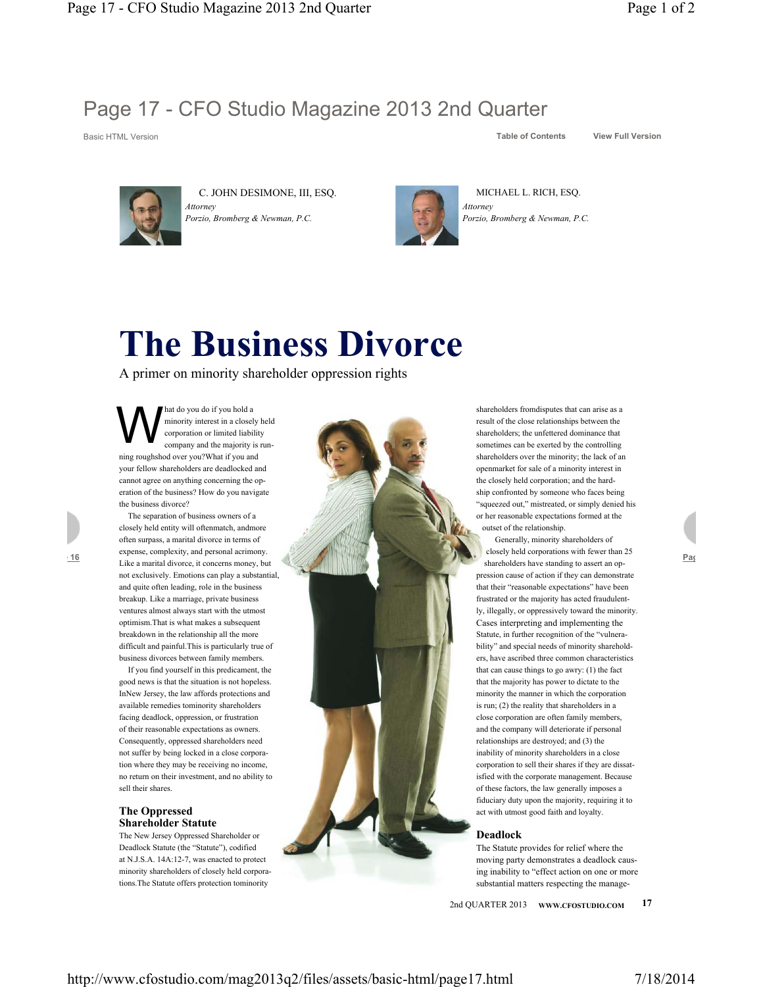

C. JOHN DESIMONE, III, ESQ. *Attorney Porzio, Bromberg & Newman, P.C.*



MICHAEL L. RICH, ESQ. *Attorney*

*Porzio, Bromberg & Newman, P.C.*

# **The Business Divorce**

A primer on minority shareholder oppression rights

M <sup>hat do</sup> you do if you hold a<br>minority interest in a close<br>corporation or limited liabi<br>company and the majority minority interest in a closely held corporation or limited liability company and the majority is running roughshod over you?What if you and your fellow shareholders are deadlocked and cannot agree on anything concerning the operation of the business? How do you navigate the business divorce?

The separation of business owners of a closely held entity will oftenmatch, andmore often surpass, a marital divorce in terms of expense, complexity, and personal acrimony. Like a marital divorce, it concerns money, but not exclusively. Emotions can play a substantial, and quite often leading, role in the business breakup. Like a marriage, private business ventures almost always start with the utmost optimism.That is what makes a subsequent breakdown in the relationship all the more difficult and painful.This is particularly true of business divorces between family members.

If you find yourself in this predicament, the good news is that the situation is not hopeless. InNew Jersey, the law affords protections and available remedies tominority shareholders facing deadlock, oppression, or frustration of their reasonable expectations as owners. Consequently, oppressed shareholders need not suffer by being locked in a close corporation where they may be receiving no income, no return on their investment, and no ability to sell their shares.

# **The Oppressed Shareholder Statute**

The New Jersey Oppressed Shareholder or Deadlock Statute (the "Statute"), codified at N.J.S.A. 14A:12-7, was enacted to protect minority shareholders of closely held corporations.The Statute offers protection tominority



shareholders fromdisputes that can arise as a result of the close relationships between the shareholders; the unfettered dominance that sometimes can be exerted by the controlling shareholders over the minority; the lack of an openmarket for sale of a minority interest in the closely held corporation; and the hardship confronted by someone who faces being "squeezed out," mistreated, or simply denied his or her reasonable expectations formed at the outset of the relationship.

Generally, minority shareholders of closely held corporations with fewer than 25 shareholders have standing to assert an oppression cause of action if they can demonstrate that their "reasonable expectations" have been frustrated or the majority has acted fraudulently, illegally, or oppressively toward the minority. Cases interpreting and implementing the Statute, in further recognition of the "vulnerability" and special needs of minority shareholders, have ascribed three common characteristics that can cause things to go awry: (1) the fact that the majority has power to dictate to the minority the manner in which the corporation is run; (2) the reality that shareholders in a close corporation are often family members, and the company will deteriorate if personal relationships are destroyed; and (3) the inability of minority shareholders in a close corporation to sell their shares if they are dissatisfied with the corporate management. Because of these factors, the law generally imposes a fiduciary duty upon the majority, requiring it to act with utmost good faith and loyalty.

## **Deadlock**

The Statute provides for relief where the moving party demonstrates a deadlock causing inability to "effect action on one or more substantial matters respecting the manage